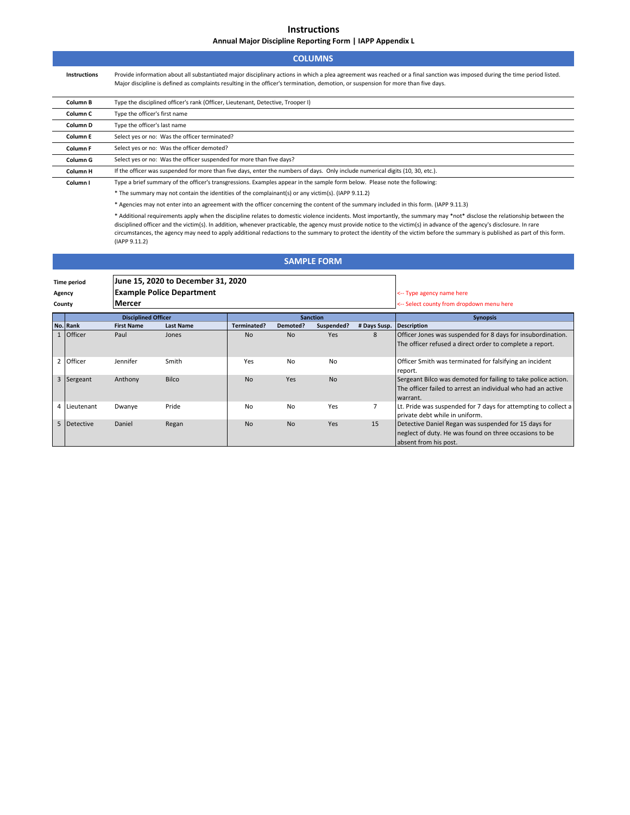**Instructions**

**Annual Major Discipline Reporting Form | IAPP Appendix L**

| <b>COLUMNS</b>                                                                                                                                                                                                                                                                                                                                                                                                                                                                                                                                         |                                                                                             |                                                                                                                                                                                                                                                                                                                   |                                                                        |                    |                                           |                    |                |                                                                                                                                           |  |  |  |
|--------------------------------------------------------------------------------------------------------------------------------------------------------------------------------------------------------------------------------------------------------------------------------------------------------------------------------------------------------------------------------------------------------------------------------------------------------------------------------------------------------------------------------------------------------|---------------------------------------------------------------------------------------------|-------------------------------------------------------------------------------------------------------------------------------------------------------------------------------------------------------------------------------------------------------------------------------------------------------------------|------------------------------------------------------------------------|--------------------|-------------------------------------------|--------------------|----------------|-------------------------------------------------------------------------------------------------------------------------------------------|--|--|--|
|                                                                                                                                                                                                                                                                                                                                                                                                                                                                                                                                                        | Instructions                                                                                | Provide information about all substantiated major disciplinary actions in which a plea agreement was reached or a final sanction was imposed during the time period listed.<br>Major discipline is defined as complaints resulting in the officer's termination, demotion, or suspension for more than five days. |                                                                        |                    |                                           |                    |                |                                                                                                                                           |  |  |  |
|                                                                                                                                                                                                                                                                                                                                                                                                                                                                                                                                                        | Type the disciplined officer's rank (Officer, Lieutenant, Detective, Trooper I)<br>Column B |                                                                                                                                                                                                                                                                                                                   |                                                                        |                    |                                           |                    |                |                                                                                                                                           |  |  |  |
|                                                                                                                                                                                                                                                                                                                                                                                                                                                                                                                                                        | Type the officer's first name<br>Column <sub>C</sub>                                        |                                                                                                                                                                                                                                                                                                                   |                                                                        |                    |                                           |                    |                |                                                                                                                                           |  |  |  |
| Type the officer's last name<br>Column D                                                                                                                                                                                                                                                                                                                                                                                                                                                                                                               |                                                                                             |                                                                                                                                                                                                                                                                                                                   |                                                                        |                    |                                           |                    |                |                                                                                                                                           |  |  |  |
|                                                                                                                                                                                                                                                                                                                                                                                                                                                                                                                                                        | Column E                                                                                    | Select yes or no: Was the officer terminated?                                                                                                                                                                                                                                                                     |                                                                        |                    |                                           |                    |                |                                                                                                                                           |  |  |  |
| Select yes or no: Was the officer demoted?<br>Column F                                                                                                                                                                                                                                                                                                                                                                                                                                                                                                 |                                                                                             |                                                                                                                                                                                                                                                                                                                   |                                                                        |                    |                                           |                    |                |                                                                                                                                           |  |  |  |
|                                                                                                                                                                                                                                                                                                                                                                                                                                                                                                                                                        | Column G                                                                                    |                                                                                                                                                                                                                                                                                                                   | Select yes or no: Was the officer suspended for more than five days?   |                    |                                           |                    |                |                                                                                                                                           |  |  |  |
|                                                                                                                                                                                                                                                                                                                                                                                                                                                                                                                                                        | Column H                                                                                    | If the officer was suspended for more than five days, enter the numbers of days. Only include numerical digits (10, 30, etc.).                                                                                                                                                                                    |                                                                        |                    |                                           |                    |                |                                                                                                                                           |  |  |  |
| Type a brief summary of the officer's transgressions. Examples appear in the sample form below. Please note the following:<br>Column I                                                                                                                                                                                                                                                                                                                                                                                                                 |                                                                                             |                                                                                                                                                                                                                                                                                                                   |                                                                        |                    |                                           |                    |                |                                                                                                                                           |  |  |  |
|                                                                                                                                                                                                                                                                                                                                                                                                                                                                                                                                                        |                                                                                             | * The summary may not contain the identities of the complainant(s) or any victim(s). (IAPP 9.11.2)                                                                                                                                                                                                                |                                                                        |                    |                                           |                    |                |                                                                                                                                           |  |  |  |
| * Agencies may not enter into an agreement with the officer concerning the content of the summary included in this form. (IAPP 9.11.3)                                                                                                                                                                                                                                                                                                                                                                                                                 |                                                                                             |                                                                                                                                                                                                                                                                                                                   |                                                                        |                    |                                           |                    |                |                                                                                                                                           |  |  |  |
| * Additional requirements apply when the discipline relates to domestic violence incidents. Most importantly, the summary may *not* disclose the relationship between the<br>disciplined officer and the victim(s). In addition, whenever practicable, the agency must provide notice to the victim(s) in advance of the agency's disclosure. In rare<br>circumstances, the agency may need to apply additional redactions to the summary to protect the identity of the victim before the summary is published as part of this form.<br>(IAPP 9.11.2) |                                                                                             |                                                                                                                                                                                                                                                                                                                   |                                                                        |                    |                                           |                    |                |                                                                                                                                           |  |  |  |
|                                                                                                                                                                                                                                                                                                                                                                                                                                                                                                                                                        |                                                                                             |                                                                                                                                                                                                                                                                                                                   |                                                                        |                    |                                           | <b>SAMPLE FORM</b> |                |                                                                                                                                           |  |  |  |
| <b>Time period</b><br>Agency                                                                                                                                                                                                                                                                                                                                                                                                                                                                                                                           |                                                                                             |                                                                                                                                                                                                                                                                                                                   | June 15, 2020 to December 31, 2020<br><b>Example Police Department</b> |                    | <-- Type agency name here                 |                    |                |                                                                                                                                           |  |  |  |
| County                                                                                                                                                                                                                                                                                                                                                                                                                                                                                                                                                 |                                                                                             | Mercer                                                                                                                                                                                                                                                                                                            |                                                                        |                    | <-- Select county from dropdown menu here |                    |                |                                                                                                                                           |  |  |  |
|                                                                                                                                                                                                                                                                                                                                                                                                                                                                                                                                                        |                                                                                             | <b>Disciplined Officer</b><br><b>Sanction</b>                                                                                                                                                                                                                                                                     |                                                                        |                    |                                           |                    |                | <b>Synopsis</b>                                                                                                                           |  |  |  |
|                                                                                                                                                                                                                                                                                                                                                                                                                                                                                                                                                        | No. Rank                                                                                    | <b>First Name</b>                                                                                                                                                                                                                                                                                                 | <b>Last Name</b>                                                       | <b>Terminated?</b> | Demoted?                                  | Suspended?         | # Days Susp.   | <b>Description</b>                                                                                                                        |  |  |  |
|                                                                                                                                                                                                                                                                                                                                                                                                                                                                                                                                                        | 1 Officer                                                                                   | Paul                                                                                                                                                                                                                                                                                                              | Jones                                                                  | No                 | <b>No</b>                                 | Yes                | 8              | Officer Jones was suspended for 8 days for insubordination.<br>The officer refused a direct order to complete a report.                   |  |  |  |
|                                                                                                                                                                                                                                                                                                                                                                                                                                                                                                                                                        | 2 Officer                                                                                   | Jennifer                                                                                                                                                                                                                                                                                                          | Smith                                                                  | Yes                | No                                        | No                 |                | Officer Smith was terminated for falsifying an incident<br>report.                                                                        |  |  |  |
|                                                                                                                                                                                                                                                                                                                                                                                                                                                                                                                                                        | 3 Sergeant                                                                                  | Anthony                                                                                                                                                                                                                                                                                                           | <b>Bilco</b>                                                           | <b>No</b>          | Yes                                       | <b>No</b>          |                | Sergeant Bilco was demoted for failing to take police action.<br>The officer failed to arrest an individual who had an active<br>warrant. |  |  |  |
| 4                                                                                                                                                                                                                                                                                                                                                                                                                                                                                                                                                      | Lieutenant                                                                                  | Dwanye                                                                                                                                                                                                                                                                                                            | Pride                                                                  | No                 | No                                        | Yes                | $\overline{7}$ | Lt. Pride was suspended for 7 days for attempting to collect a<br>private debt while in uniform.                                          |  |  |  |

5 Detective Daniel Regan No No Yes 15 Detective Daniel Regan was suspended for 15 days for

neglect of duty. He was found on three occasions to be

absent from his post.